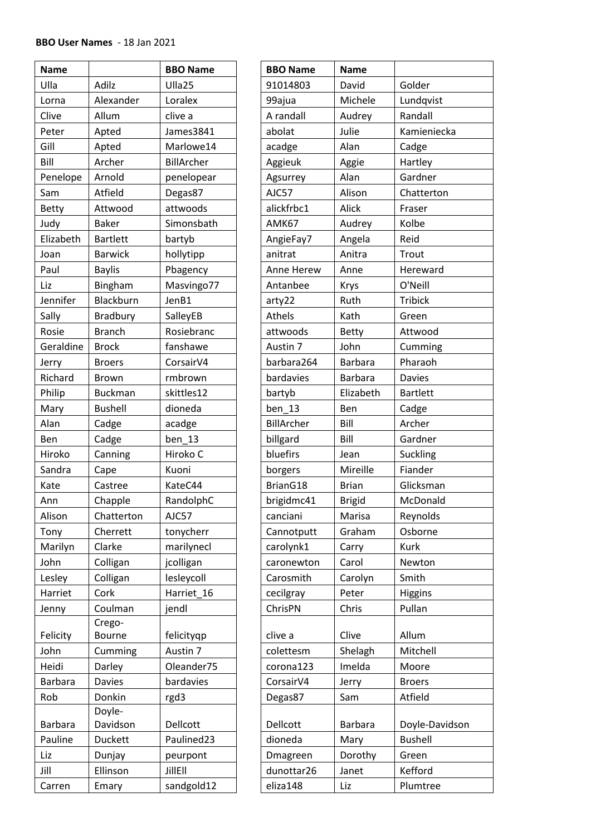| <b>Name</b>               |                     | <b>BBO Name</b>        | <b>BBO Name</b>     | <b>Name</b>            |                                |
|---------------------------|---------------------|------------------------|---------------------|------------------------|--------------------------------|
| Ulla                      | Adilz               | Ulla25                 | 91014803            | David                  | Golder                         |
| Lorna                     | Alexander           | Loralex                | 99ajua              | Michele                | Lundqvist                      |
| Clive                     | Allum               | clive a                | A randall           | Audrey                 | Randall                        |
| Peter                     | Apted               | James3841              | abolat              | Julie                  | Kamieniecka                    |
| Gill                      | Apted               | Marlowe14              | acadge              | Alan                   | Cadge                          |
| Bill                      | Archer              | BillArcher             | Aggieuk             | Aggie                  | Hartley                        |
| Penelope                  | Arnold              | penelopear             | Agsurrey            | Alan                   | Gardner                        |
| Sam                       | Atfield             | Degas87                | AJC57               | Alison                 | Chatterton                     |
| <b>Betty</b>              | Attwood             | attwoods               | alickfrbc1          | Alick                  | Fraser                         |
| Judy                      | <b>Baker</b>        | Simonsbath             | AMK67               | Audrey                 | Kolbe                          |
| Elizabeth                 | <b>Bartlett</b>     | bartyb                 | AngieFay7           | Angela                 | Reid                           |
| Joan                      | <b>Barwick</b>      | hollytipp              | anitrat             | Anitra                 | Trout                          |
| Paul                      | <b>Baylis</b>       | Pbagency               | Anne Herew          | Anne                   | Hereward                       |
| Liz                       | Bingham             | Masvingo77             | Antanbee            | Krys                   | O'Neill                        |
| Jennifer                  | Blackburn           | JenB1                  | arty22              | Ruth                   | <b>Tribick</b>                 |
| Sally                     | Bradbury            | SalleyEB               | Athels              | Kath                   | Green                          |
| Rosie                     | <b>Branch</b>       | Rosiebranc             | attwoods            | <b>Betty</b>           | Attwood                        |
| Geraldine                 | <b>Brock</b>        | fanshawe               | Austin 7            | John                   | Cumming                        |
| Jerry                     | <b>Broers</b>       | CorsairV4              | barbara264          | <b>Barbara</b>         | Pharaoh                        |
| Richard                   | <b>Brown</b>        | rmbrown                | bardavies           | <b>Barbara</b>         | <b>Davies</b>                  |
| Philip                    | <b>Buckman</b>      | skittles12             | bartyb              | Elizabeth              | <b>Bartlett</b>                |
| Mary                      | <b>Bushell</b>      | dioneda                | ben 13              | Ben                    | Cadge                          |
| Alan                      | Cadge               | acadge                 | BillArcher          | Bill                   | Archer                         |
| Ben                       | Cadge               | $ben_13$               | billgard            | Bill                   | Gardner                        |
| Hiroko                    | Canning             | Hiroko C               | bluefirs            | Jean                   | Suckling                       |
| Sandra                    | Cape                | Kuoni                  | borgers             | Mireille               | Fiander                        |
| Kate                      | Castree             | KateC44                | BrianG18            | <b>Brian</b>           | Glicksman                      |
| Ann                       | Chapple             | RandolphC              | brigidmc41          | <b>Brigid</b>          | McDonald                       |
| Alison                    | Chatterton          | AJC57                  | canciani            | Marisa                 | Reynolds                       |
| Tony                      | Cherrett            | tonycherr              | Cannotputt          | Graham                 | Osborne                        |
| Marilyn                   | Clarke              | marilynecl             | carolynk1           | Carry                  | <b>Kurk</b>                    |
| John                      | Colligan            | jcolligan              | caronewton          | Carol                  | Newton                         |
| Lesley                    | Colligan            | lesleycoll             | Carosmith           | Carolyn                | Smith                          |
| Harriet                   | Cork                | Harriet 16             | cecilgray           | Peter                  | <b>Higgins</b>                 |
| Jenny                     | Coulman             | jendl                  | ChrisPN             | Chris                  | Pullan                         |
|                           | Crego-              |                        |                     |                        |                                |
| Felicity                  | Bourne              | felicityqp             | clive a             | Clive                  | Allum                          |
| John                      | Cumming             | Austin 7               | colettesm           | Shelagh                | Mitchell                       |
| Heidi                     | Darley              | Oleander75             | corona123           | Imelda                 | Moore                          |
| <b>Barbara</b>            | <b>Davies</b>       | bardavies              | CorsairV4           | Jerry                  | <b>Broers</b>                  |
| Rob                       | Donkin              | rgd3                   | Degas87             | Sam                    | Atfield                        |
|                           | Doyle-              |                        |                     |                        |                                |
| <b>Barbara</b><br>Pauline | Davidson<br>Duckett | Dellcott<br>Paulined23 | Dellcott<br>dioneda | <b>Barbara</b><br>Mary | Doyle-Davids<br><b>Bushell</b> |
| Liz                       |                     |                        |                     |                        |                                |
| Jill                      | Dunjay              | peurpont<br>JillEll    | Dmagreen            | Dorothy<br>Janet       | Green<br>Kefford               |
|                           | Ellinson            |                        | dunottar26          |                        |                                |
| Carren                    | Emary               | sandgold12             | eliza148            | Liz                    | Plumtree                       |

|                 | <b>BBO Name</b> | <b>BBO Name</b> | <b>Name</b>    |                 |
|-----------------|-----------------|-----------------|----------------|-----------------|
| Adilz           | Ulla25          | 91014803        | David          | Golder          |
| Alexander       | Loralex         | 99ajua          | Michele        | Lundqvist       |
| Allum           | clive a         | A randall       | Audrey         | Randall         |
| Apted           | James3841       | abolat          | Julie          | Kamieniecka     |
| Apted           | Marlowe14       | acadge          | Alan           | Cadge           |
| Archer          | BillArcher      | Aggieuk         | Aggie          | Hartley         |
| Arnold          | penelopear      | Agsurrey        | Alan           | Gardner         |
| Atfield         | Degas87         | AJC57           | Alison         | Chatterton      |
| Attwood         | attwoods        | alickfrbc1      | Alick          | Fraser          |
| <b>Baker</b>    | Simonsbath      | AMK67           | Audrey         | Kolbe           |
| <b>Bartlett</b> | bartyb          | AngieFay7       | Angela         | Reid            |
| <b>Barwick</b>  | hollytipp       | anitrat         | Anitra         | Trout           |
| <b>Baylis</b>   | Pbagency        | Anne Herew      | Anne           | Hereward        |
| Bingham         | Masvingo77      | Antanbee        | Krys           | O'Neill         |
| Blackburn       | JenB1           | arty22          | Ruth           | <b>Tribick</b>  |
| <b>Bradbury</b> | SalleyEB        | Athels          | Kath           | Green           |
| <b>Branch</b>   | Rosiebranc      | attwoods        | <b>Betty</b>   | Attwood         |
| <b>Brock</b>    | fanshawe        | Austin 7        | John           | Cumming         |
| <b>Broers</b>   | CorsairV4       | barbara264      | <b>Barbara</b> | Pharaoh         |
| Brown           | rmbrown         | bardavies       | <b>Barbara</b> | <b>Davies</b>   |
| <b>Buckman</b>  | skittles12      | bartyb          | Elizabeth      | <b>Bartlett</b> |
| <b>Bushell</b>  | dioneda         | ben 13          | Ben            | Cadge           |
| Cadge           | acadge          | BillArcher      | Bill           | Archer          |
| Cadge           | ben 13          | billgard        | Bill           | Gardner         |
| Canning         | Hiroko C        | bluefirs        | Jean           | Suckling        |
| Cape            | Kuoni           | borgers         | Mireille       | Fiander         |
| Castree         | KateC44         | BrianG18        | <b>Brian</b>   | Glicksman       |
| Chapple         | RandolphC       | brigidmc41      | <b>Brigid</b>  | McDonald        |
| Chatterton      | AJC57           | canciani        | Marisa         | Reynolds        |
| Cherrett        | tonycherr       | Cannotputt      | Graham         | Osborne         |
| Clarke          | marilynecl      | carolynk1       | Carry          | <b>Kurk</b>     |
| Colligan        | jcolligan       | caronewton      | Carol          | Newton          |
| Colligan        | lesleycoll      | Carosmith       | Carolyn        | Smith           |
| Cork            | Harriet_16      | cecilgray       | Peter          | Higgins         |
| Coulman         | jendl           | ChrisPN         | Chris          | Pullan          |
| Crego-          |                 |                 |                |                 |
| <b>Bourne</b>   | felicityqp      | clive a         | Clive          | Allum           |
| Cumming         | Austin 7        | colettesm       | Shelagh        | Mitchell        |
| Darley          | Oleander75      | corona123       | Imelda         | Moore           |
| <b>Davies</b>   | bardavies       | CorsairV4       | Jerry          | <b>Broers</b>   |
| Donkin          | rgd3            | Degas87         | Sam            | Atfield         |
| Doyle-          | Dellcott        |                 | <b>Barbara</b> |                 |
| Davidson        |                 | Dellcott        |                | Doyle-Davidson  |
| Duckett         | Paulined23      | dioneda         | Mary           | <b>Bushell</b>  |
| Dunjay          | peurpont        | Dmagreen        | Dorothy        | Green           |
| Ellinson        | JillEll         | dunottar26      | Janet          | Kefford         |
| Emary           | sandgold12      | eliza148        | Liz            | Plumtree        |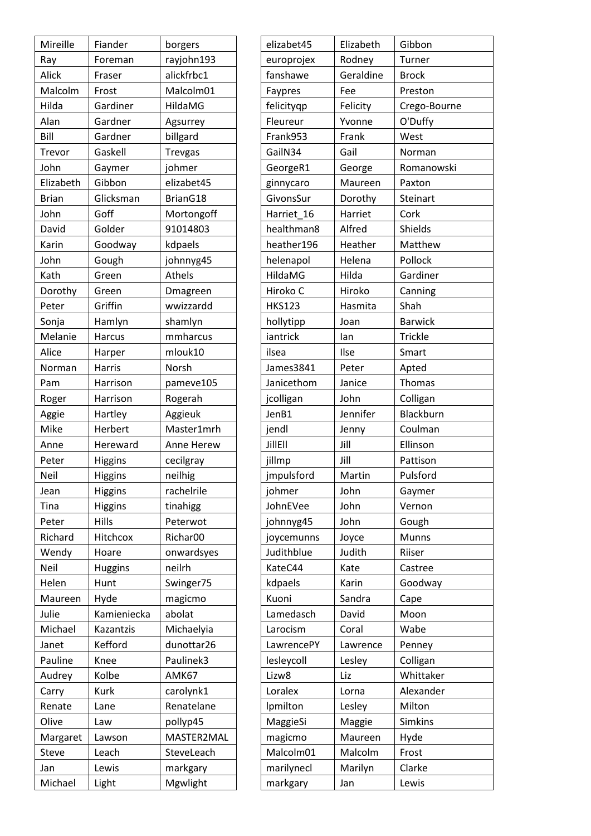| Mireille     | Fiander        | borgers        | elizabet45    | Elizabeth | Gibbon         |
|--------------|----------------|----------------|---------------|-----------|----------------|
| Ray          | Foreman        | rayjohn193     | europrojex    | Rodney    | Turner         |
| Alick        | Fraser         | alickfrbc1     | fanshawe      | Geraldine | <b>Brock</b>   |
| Malcolm      | Frost          | Malcolm01      | Faypres       | Fee       | Preston        |
| Hilda        | Gardiner       | HildaMG        | felicityqp    | Felicity  | Crego-Bourne   |
| Alan         | Gardner        | Agsurrey       | Fleureur      | Yvonne    | O'Duffy        |
| Bill         | Gardner        | billgard       | Frank953      | Frank     | West           |
| Trevor       | Gaskell        | <b>Trevgas</b> | GailN34       | Gail      | Norman         |
| John         | Gaymer         | johmer         | GeorgeR1      | George    | Romanowski     |
| Elizabeth    | Gibbon         | elizabet45     | ginnycaro     | Maureen   | Paxton         |
| <b>Brian</b> | Glicksman      | BrianG18       | GivonsSur     | Dorothy   | Steinart       |
| John         | Goff           | Mortongoff     | Harriet_16    | Harriet   | Cork           |
| David        | Golder         | 91014803       | healthman8    | Alfred    | Shields        |
| Karin        | Goodway        | kdpaels        | heather196    | Heather   | Matthew        |
| John         | Gough          | johnnyg45      | helenapol     | Helena    | Pollock        |
| Kath         | Green          | Athels         | HildaMG       | Hilda     | Gardiner       |
| Dorothy      | Green          | Dmagreen       | Hiroko C      | Hiroko    | Canning        |
| Peter        | Griffin        | wwizzardd      | <b>HKS123</b> | Hasmita   | Shah           |
| Sonja        | Hamlyn         | shamlyn        | hollytipp     | Joan      | <b>Barwick</b> |
| Melanie      | Harcus         | mmharcus       | iantrick      | lan       | Trickle        |
| Alice        | Harper         | mlouk10        | ilsea         | Ilse      | Smart          |
| Norman       | Harris         | Norsh          | James3841     | Peter     | Apted          |
| Pam          | Harrison       | pameve105      | Janicethom    | Janice    | Thomas         |
| Roger        | Harrison       | Rogerah        | jcolligan     | John      | Colligan       |
| Aggie        | Hartley        | Aggieuk        | JenB1         | Jennifer  | Blackburn      |
| Mike         | Herbert        | Master1mrh     | jendl         | Jenny     | Coulman        |
| Anne         | Hereward       | Anne Herew     | JillEll       | Jill      | Ellinson       |
| Peter        | <b>Higgins</b> | cecilgray      | jillmp        | Jill      | Pattison       |
| Neil         | <b>Higgins</b> | neilhig        | jmpulsford    | Martin    | Pulsford       |
| Jean         | <b>Higgins</b> | rachelrile     | johmer        | John      | Gaymer         |
| Tina         | <b>Higgins</b> | tinahigg       | JohnEVee      | John      | Vernon         |
| Peter        | Hills          | Peterwot       | johnnyg45     | John      | Gough          |
| Richard      | Hitchcox       | Richar00       | joycemunns    | Joyce     | Munns          |
| Wendy        | Hoare          | onwardsyes     | Judithblue    | Judith    | Riiser         |
| Neil         | <b>Huggins</b> | neilrh         | KateC44       | Kate      | Castree        |
| Helen        | Hunt           | Swinger75      | kdpaels       | Karin     | Goodway        |
| Maureen      | Hyde           | magicmo        | Kuoni         | Sandra    | Cape           |
| Julie        | Kamieniecka    | abolat         | Lamedasch     | David     | Moon           |
| Michael      | Kazantzis      | Michaelyia     | Larocism      | Coral     | Wabe           |
| Janet        | Kefford        | dunottar26     | LawrencePY    | Lawrence  | Penney         |
| Pauline      | Knee           | Paulinek3      | lesleycoll    | Lesley    | Colligan       |
| Audrey       | Kolbe          | AMK67          | Lizw8         | Liz       | Whittaker      |
| Carry        | Kurk           | carolynk1      | Loralex       | Lorna     | Alexander      |
| Renate       | Lane           | Renatelane     | Ipmilton      | Lesley    | Milton         |
| Olive        | Law            | pollyp45       | MaggieSi      | Maggie    | <b>Simkins</b> |
| Margaret     | Lawson         | MASTER2MAL     | magicmo       | Maureen   | Hyde           |
| Steve        | Leach          | SteveLeach     | Malcolm01     | Malcolm   | Frost          |
| Jan          | Lewis          | markgary       | marilynecl    | Marilyn   | Clarke         |
| Michael      | Light          | Mgwlight       | markgary      | Jan       | Lewis          |

| elizabet45    | Elizabeth | Gibbon         |
|---------------|-----------|----------------|
| europrojex    | Rodney    | Turner         |
| fanshawe      | Geraldine | <b>Brock</b>   |
| Faypres       | Fee       | Preston        |
| felicityqp    | Felicity  | Crego-Bourne   |
| Fleureur      | Yvonne    | O'Duffy        |
| Frank953      | Frank     | West           |
| GailN34       | Gail      | Norman         |
| GeorgeR1      | George    | Romanowski     |
| ginnycaro     | Maureen   | Paxton         |
| GivonsSur     | Dorothy   | Steinart       |
| Harriet_16    | Harriet   | Cork           |
| healthman8    | Alfred    | Shields        |
| heather196    | Heather   | Matthew        |
| helenapol     | Helena    | Pollock        |
| HildaMG       | Hilda     | Gardiner       |
| Hiroko C      | Hiroko    | Canning        |
| <b>HKS123</b> | Hasmita   | Shah           |
| hollytipp     | Joan      | <b>Barwick</b> |
| iantrick      | lan       | <b>Trickle</b> |
| ilsea         | Ilse      | Smart          |
| James3841     | Peter     | Apted          |
| Janicethom    | Janice    | <b>Thomas</b>  |
| jcolligan     | John      | Colligan       |
| JenB1         | Jennifer  | Blackburn      |
| jendl         | Jenny     | Coulman        |
| JillEll       | Jill      | Ellinson       |
| jillmp        | Jill      | Pattison       |
| jmpulsford    | Martin    | Pulsford       |
| johmer        | John      | Gaymer         |
| JohnEVee      | John      | Vernon         |
| johnnyg45     | John      | Gough          |
| joycemunns    | Joyce     | Munns          |
| Judithblue    | Judith    | Riiser         |
| KateC44       | Kate      | Castree        |
| kdpaels       | Karin     | Goodway        |
| Kuoni         | Sandra    | Cape           |
| Lamedasch     | David     | Moon           |
| Larocism      | Coral     | Wabe           |
| LawrencePY    | Lawrence  | Penney         |
| lesleycoll    | Lesley    | Colligan       |
| Lizw8         | Liz       | Whittaker      |
| Loralex       | Lorna     | Alexander      |
| Ipmilton      | Lesley    | Milton         |
| MaggieSi      | Maggie    | <b>Simkins</b> |
| magicmo       | Maureen   | Hyde           |
| Malcolm01     | Malcolm   | Frost          |
| marilynecl    | Marilyn   | Clarke         |
| markgary      | Jan       | Lewis          |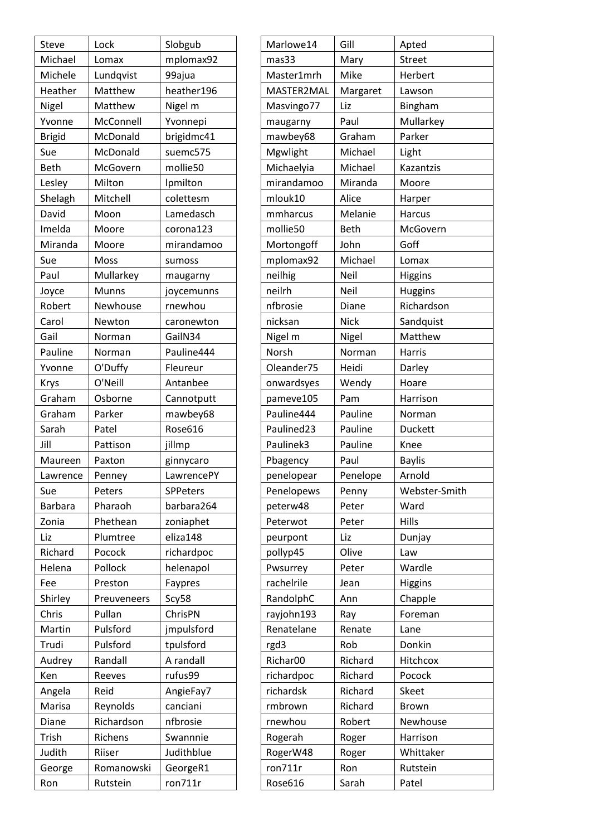| Steve          | Lock        | Slobgub    | Marlowe14  | Gill        | Apted          |
|----------------|-------------|------------|------------|-------------|----------------|
| Michael        | Lomax       | mplomax92  | mas33      | Mary        | Street         |
| Michele        | Lundqvist   | 99ajua     | Master1mrh | Mike        | Herbert        |
| Heather        | Matthew     | heather196 | MASTER2MAL | Margaret    | Lawson         |
| Nigel          | Matthew     | Nigel m    | Masvingo77 | Liz         | Bingham        |
| Yvonne         | McConnell   | Yvonnepi   | maugarny   | Paul        | Mullarkey      |
| <b>Brigid</b>  | McDonald    | brigidmc41 | mawbey68   | Graham      | Parker         |
| Sue            | McDonald    | suemc575   | Mgwlight   | Michael     | Light          |
| Beth           | McGovern    | mollie50   | Michaelyia | Michael     | Kazantzis      |
| Lesley         | Milton      | Ipmilton   | mirandamoo | Miranda     | Moore          |
| Shelagh        | Mitchell    | colettesm  | mlouk10    | Alice       | Harper         |
| David          | Moon        | Lamedasch  | mmharcus   | Melanie     | Harcus         |
| Imelda         | Moore       | corona123  | mollie50   | <b>Beth</b> | McGovern       |
| Miranda        | Moore       | mirandamoo | Mortongoff | John        | Goff           |
| Sue            | Moss        | sumoss     | mplomax92  | Michael     | Lomax          |
| Paul           | Mullarkey   | maugarny   | neilhig    | Neil        | <b>Higgins</b> |
| Joyce          | Munns       | joycemunns | neilrh     | Neil        | <b>Huggins</b> |
| Robert         | Newhouse    | rnewhou    | nfbrosie   | Diane       | Richardson     |
| Carol          | Newton      | caronewton | nicksan    | <b>Nick</b> | Sandquist      |
| Gail           | Norman      | GailN34    | Nigel m    | Nigel       | Matthew        |
| Pauline        | Norman      | Pauline444 | Norsh      | Norman      | Harris         |
| Yvonne         | O'Duffy     | Fleureur   | Oleander75 | Heidi       | Darley         |
| Krys           | O'Neill     | Antanbee   | onwardsyes | Wendy       | Hoare          |
| Graham         | Osborne     | Cannotputt | pameve105  | Pam         | Harrison       |
| Graham         | Parker      | mawbey68   | Pauline444 | Pauline     | Norman         |
| Sarah          | Patel       | Rose616    | Paulined23 | Pauline     | <b>Duckett</b> |
| Jill           | Pattison    | jillmp     | Paulinek3  | Pauline     | Knee           |
| Maureen        | Paxton      | ginnycaro  | Pbagency   | Paul        | <b>Baylis</b>  |
| Lawrence       | Penney      | LawrencePY | penelopear | Penelope    | Arnold         |
| Sue            | Peters      | SPPeters   | Penelopews | Penny       | Webster-Sr     |
| <b>Barbara</b> | Pharaoh     | barbara264 | peterw48   | Peter       | Ward           |
| Zonia          | Phethean    | zoniaphet  | Peterwot   | Peter       | Hills          |
| Liz            | Plumtree    | eliza148   | peurpont   | Liz         | Dunjay         |
| Richard        | Pocock      | richardpoc | pollyp45   | Olive       | Law            |
| Helena         | Pollock     | helenapol  | Pwsurrey   | Peter       | Wardle         |
| Fee            | Preston     | Faypres    | rachelrile | Jean        | Higgins        |
| Shirley        | Preuveneers | Scy58      | RandolphC  | Ann         | Chapple        |
| Chris          | Pullan      | ChrisPN    | rayjohn193 | Ray         | Foreman        |
| Martin         | Pulsford    | jmpulsford | Renatelane | Renate      | Lane           |
| Trudi          | Pulsford    | tpulsford  | rgd3       | Rob         | Donkin         |
| Audrey         | Randall     | A randall  | Richar00   | Richard     | Hitchcox       |
| Ken            | Reeves      | rufus99    | richardpoc | Richard     | Pocock         |
| Angela         | Reid        | AngieFay7  | richardsk  | Richard     | Skeet          |
| Marisa         | Reynolds    | canciani   | rmbrown    | Richard     | Brown          |
| Diane          | Richardson  | nfbrosie   | rnewhou    | Robert      | Newhouse       |
| Trish          | Richens     | Swannnie   |            |             | Harrison       |
|                |             |            | Rogerah    | Roger       |                |
| Judith         | Riiser      | Judithblue | RogerW48   | Roger       | Whittaker      |
| George         | Romanowski  | GeorgeR1   | ron711r    | Ron         | Rutstein       |
| Ron            | Rutstein    | ron711r    | Rose616    | Sarah       | Patel          |

| Steve          | Lock         | Slobgub         | Marlowe14  | Gill        | Apted          |
|----------------|--------------|-----------------|------------|-------------|----------------|
| Michael        | Lomax        | mplomax92       | mas33      | Mary        | Street         |
| Michele        | Lundqvist    | 99ajua          | Master1mrh | Mike        | Herbert        |
| Heather        | Matthew      | heather196      | MASTER2MAL | Margaret    | Lawson         |
| Nigel          | Matthew      | Nigel m         | Masvingo77 | Liz         | Bingham        |
| Yvonne         | McConnell    | Yvonnepi        | maugarny   | Paul        | Mullarkey      |
| <b>Brigid</b>  | McDonald     | brigidmc41      | mawbey68   | Graham      | Parker         |
| Sue            | McDonald     | suemc575        | Mgwlight   | Michael     | Light          |
| <b>Beth</b>    | McGovern     | mollie50        | Michaelyia | Michael     | Kazantzis      |
| Lesley         | Milton       | Ipmilton        | mirandamoo | Miranda     | Moore          |
| Shelagh        | Mitchell     | colettesm       | mlouk10    | Alice       | Harper         |
| David          | Moon         | Lamedasch       | mmharcus   | Melanie     | Harcus         |
| Imelda         | Moore        | corona123       | mollie50   | <b>Beth</b> | McGovern       |
| Miranda        | Moore        | mirandamoo      | Mortongoff | John        | Goff           |
| Sue            | Moss         | sumoss          | mplomax92  | Michael     | Lomax          |
| Paul           | Mullarkey    | maugarny        | neilhig    | Neil        | <b>Higgins</b> |
| Joyce          | <b>Munns</b> | joycemunns      | neilrh     | Neil        | <b>Huggins</b> |
| Robert         | Newhouse     | rnewhou         | nfbrosie   | Diane       | Richardson     |
| Carol          | Newton       | caronewton      | nicksan    | <b>Nick</b> | Sandquist      |
| Gail           | Norman       | GailN34         | Nigel m    | Nigel       | Matthew        |
| Pauline        | Norman       | Pauline444      | Norsh      | Norman      | Harris         |
| Yvonne         | O'Duffy      | Fleureur        | Oleander75 | Heidi       | Darley         |
| Krys           | O'Neill      | Antanbee        | onwardsyes | Wendy       | Hoare          |
| Graham         | Osborne      | Cannotputt      | pameve105  | Pam         | Harrison       |
| Graham         | Parker       | mawbey68        | Pauline444 | Pauline     | Norman         |
| Sarah          | Patel        | Rose616         | Paulined23 | Pauline     | <b>Duckett</b> |
| Jill           | Pattison     | jillmp          | Paulinek3  | Pauline     | Knee           |
| Maureen        | Paxton       | ginnycaro       | Pbagency   | Paul        | <b>Baylis</b>  |
| Lawrence       | Penney       | LawrencePY      | penelopear | Penelope    | Arnold         |
| Sue            | Peters       | <b>SPPeters</b> | Penelopews | Penny       | Webster-Smith  |
| <b>Barbara</b> | Pharaoh      | barbara264      | peterw48   | Peter       | Ward           |
| Zonia          | Phethean     | zoniaphet       | Peterwot   | Peter       | Hills          |
| Liz            | Plumtree     | eliza148        | peurpont   | Liz         | Dunjay         |
| Richard        | Pocock       | richardpoc      | pollyp45   | Olive       | Law            |
| Helena         | Pollock      | helenapol       | Pwsurrey   | Peter       | Wardle         |
| Fee            | Preston      | Faypres         | rachelrile | Jean        | <b>Higgins</b> |
| Shirley        | Preuveneers  | Scy58           | RandolphC  | Ann         | Chapple        |
| Chris          | Pullan       | ChrisPN         | rayjohn193 | Ray         | Foreman        |
| Martin         | Pulsford     | jmpulsford      | Renatelane | Renate      | Lane           |
| Trudi          | Pulsford     | tpulsford       | rgd3       | Rob         | Donkin         |
| Audrey         | Randall      | A randall       | Richar00   | Richard     | Hitchcox       |
| Ken            | Reeves       | rufus99         | richardpoc | Richard     | Pocock         |
| Angela         | Reid         | AngieFay7       | richardsk  | Richard     | Skeet          |
| Marisa         | Reynolds     | canciani        | rmbrown    | Richard     | Brown          |
| Diane          | Richardson   | nfbrosie        | rnewhou    | Robert      | Newhouse       |
| Trish          | Richens      | Swannnie        | Rogerah    | Roger       | Harrison       |
| Judith         | Riiser       | Judithblue      | RogerW48   | Roger       | Whittaker      |
| George         | Romanowski   | GeorgeR1        | ron711r    | Ron         | Rutstein       |
| Ron            | Rutstein     | ron711r         | Rose616    | Sarah       | Patel          |